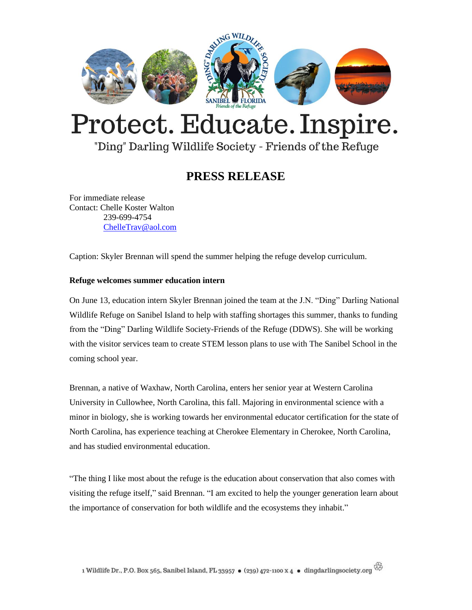

# Protect. Educate. Inspire.

### "Ding" Darling Wildlife Society - Friends of the Refuge

## **PRESS RELEASE**

For immediate release Contact: Chelle Koster Walton 239-699-4754 [ChelleTrav@aol.com](mailto:ChelleTrav@aol.com)

Caption: Skyler Brennan will spend the summer helping the refuge develop curriculum.

#### **Refuge welcomes summer education intern**

On June 13, education intern Skyler Brennan joined the team at the J.N. "Ding" Darling National Wildlife Refuge on Sanibel Island to help with staffing shortages this summer, thanks to funding from the "Ding" Darling Wildlife Society-Friends of the Refuge (DDWS). She will be working with the visitor services team to create STEM lesson plans to use with The Sanibel School in the coming school year.

Brennan, a native of Waxhaw, North Carolina, enters her senior year at Western Carolina University in Cullowhee, North Carolina, this fall. Majoring in environmental science with a minor in biology, she is working towards her environmental educator certification for the state of North Carolina, has experience teaching at Cherokee Elementary in Cherokee, North Carolina, and has studied environmental education.

"The thing I like most about the refuge is the education about conservation that also comes with visiting the refuge itself," said Brennan. "I am excited to help the younger generation learn about the importance of conservation for both wildlife and the ecosystems they inhabit."